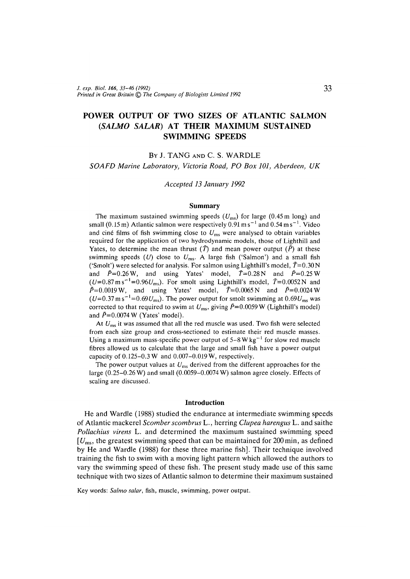# POWER OUTPUT OF TWO SIZES OF ATLANTIC SALMON *(SALMO SALAR)* AT THEIR MAXIMUM SUSTAINED SWIMMING SPEEDS

# BY J. TANG AND C. S. WARDLE

*SOAFD Marine Laboratory, Victoria Road, PO Box 101, Aberdeen, UK*

*Accepted 13 January 1992*

#### **Summary**

The maximum sustained swimming speeds  $(U_{ms})$  for large (0.45 m long) and small (0.15 m) Atlantic salmon were respectively 0.91 m s<sup>-1</sup> and 0.54 m s<sup>-1</sup>. Video and ciné films of fish swimming close to  $U_{\text{ms}}$  were analysed to obtain variables required for the application of two hydrodynamic models, those of Lighthill and Yates, to determine the mean thrust  $(\bar{T})$  and mean power output  $(\bar{P})$  at these swimming speeds *(U)* close to *Ums. A* large fish ('Salmon') and a small fish ('Smolt') were selected for analysis. For salmon using Lighthill's model,  $\bar{T}=0.30\,\text{N}$ and  $\bar{P}=0.26 \text{ W}$ , and using Yates' model,  $\bar{T}=0.28 \text{ N}$  and  $\bar{P}=0.25 \text{ W}$  $(U=0.87 \text{ m s}^{-1} = 0.96 U_{\text{ms}})$ . For smolt using Lighthill's model,  $\bar{T}=0.0052 \text{ N}$  and  $\bar{P}=0.0019 \text{ W}$ , and using Yates' model,  $\bar{T}=0.0065 \text{ N}$  and  $\bar{P}=0.0024 \text{ W}$  $(U=0.37 \text{ m s}^{-1}$ =0.69 $U_{\text{ms}}$ ). The power output for smolt swimming at 0.69 $U_{\text{ms}}$  was corrected to that required to swim at  $U_{\text{ms}}$ , giving  $\bar{P}=0.0059$  W (Lighthill's model) and  $\bar{P}$ =0.0074 W (Yates' model).

At *Ums* it was assumed that all the red muscle was used. Two fish were selected from each size group and cross-sectioned to estimate their red muscle masses. Using a maximum mass-specific power output of 5–8 W kg<sup>-1</sup> for slow red muscle fibres allowed us to calculate that the large and small fish have a power output capacity of  $0.125-0.3$  W and  $0.007-0.019$  W, respectively.

The power output values at *Ums* derived from the different approaches for the large (0.25-0.26 W) and small (0.0059-0.0074 W) salmon agree closely. Effects of scaling are discussed.

#### **Introduction**

He and Wardle (1988) studied the endurance at intermediate swimming speeds of Atlantic mackerel *Scomber scombrus* L., herring *Clupea harengus* L. and saithe *Pollachius virens* L. and determined the maximum sustained swimming speed *[Ums,* the greatest swimming speed that can be maintained for 200 min, as defined by He and Wardle (1988) for these three marine fish]. Their technique involved training the fish to swim with a moving light pattern which allowed the authors to vary the swimming speed of these fish. The present study made use of this same technique with two sizes of Atlantic salmon to determine their maximum sustained

Key words: *Salmo salar,* fish, muscle, swimming, power output.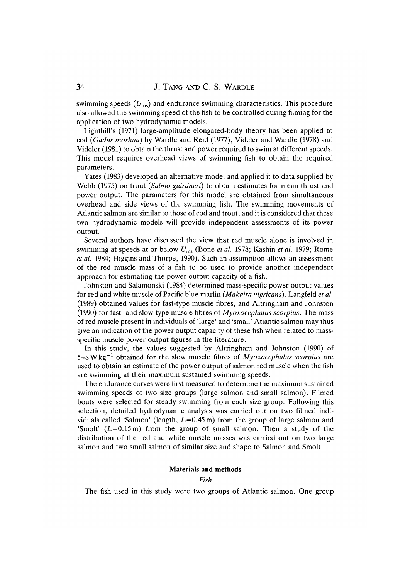swimming speeds *(Ums)* and endurance swimming characteristics. This procedure also allowed the swimming speed of the fish to be controlled during filming for the application of two hydrodynamic models.

Lighthill's (1971) large-amplitude elongated-body theory has been applied to cod *(Gadus morhua)* by Wardle and Reid (1977), Videler and Wardle (1978) and Videler (1981) to obtain the thrust and power required to swim at different speeds. This model requires overhead views of swimming fish to obtain the required parameters.

Yates (1983) developed an alternative model and applied it to data supplied by Webb (1975) on trout *(Salmo gairdneri)* to obtain estimates for mean thrust and power output. The parameters for this model are obtained from simultaneous overhead and side views of the swimming fish. The swimming movements of Atlantic salmon are similar to those of cod and trout, and it is considered that these two hydrodynamic models will provide independent assessments of its power output.

Several authors have discussed the view that red muscle alone is involved in swimming at speeds at or below *Ums* (Bone *et al.* 1978; Kashin *et al.* 1979; Rome *etal.* 1984; Higgins and Thorpe, 1990). Such an assumption allows an assessment of the red muscle mass of a fish to be used to provide another independent approach for estimating the power output capacity of a fish.

Johnston and Salamonski (1984) determined mass-specific power output values for red and white muscle of Pacific blue marlin *(Makaira nigricans).* Langfeld *et al.* (1989) obtained values for fast-type muscle fibres, and Altringham and Johnston (1990) for fast- and slow-type muscle fibres of *Myoxocephalus scorpius.* The mass of red muscle present in individuals of 'large' and 'small' Atlantic salmon may thus give an indication of the power output capacity of these fish when related to massspecific muscle power output figures in the literature.

In this study, the values suggested by Altringham and Johnston (1990) of 5–8Wkg<sup>-1</sup> obtained for the slow muscle fibres of *Myoxocephalus scorpius* are used to obtain an estimate of the power output of salmon red muscle when the fish are swimming at their maximum sustained swimming speeds.

The endurance curves were first measured to determine the maximum sustained swimming speeds of two size groups (large salmon and small salmon). Filmed bouts were selected for steady swimming from each size group. Following this selection, detailed hydrodynamic analysis was carried out on two filmed individuals called 'Salmon' (length,  $L=0.45$  m) from the group of large salmon and 'Smolt'  $(L=0.15 \text{ m})$  from the group of small salmon. Then a study of the distribution of the red and white muscle masses was carried out on two large salmon and two small salmon of similar size and shape to Salmon and Smolt.

## **Materials and methods**

## *Fish*

The fish used in this study were two groups of Atlantic salmon. One group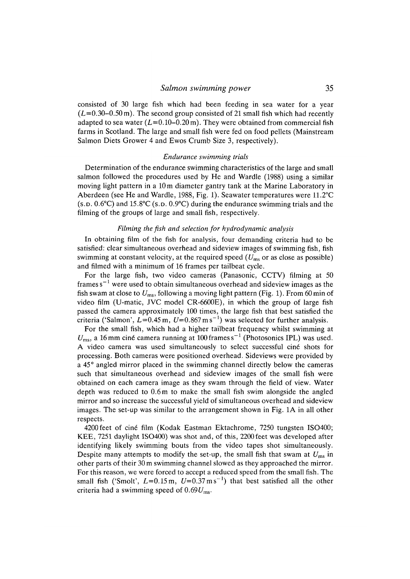consisted of 30 large fish which had been feeding in sea water for a year  $(L=0.30-0.50 \text{ m})$ . The second group consisted of 21 small fish which had recently adapted to sea water  $(L=0.10-0.20 \text{ m})$ . They were obtained from commercial fish farms in Scotland. The large and small fish were fed on food pellets (Mainstream Salmon Diets Grower 4 and Ewos Crumb Size 3, respectively).

### *Endurance swimming trials*

Determination of the endurance swimming characteristics of the large and small salmon followed the procedures used by He and Wardle (1988) using a similar moving light pattern in a 10 m diameter gantry tank at the Marine Laboratory in Aberdeen (see He and Wardle, 1988, Fig. 1). Seawater temperatures were 11.2°C  $(S.D. 0.6^{\circ}C)$  and 15.8°C (s.p. 0.9°C) during the endurance swimming trials and the filming of the groups of large and small fish, respectively.

#### *Filming the fish and selection for hydrodynamic analysis*

In obtaining film of the fish for analysis, four demanding criteria had to be satisfied: clear simultaneous overhead and sideview images of swimming fish, fish swimming at constant velocity, at the required speed *(Ums* or as close as possible) and filmed with a minimum of 16 frames per tailbeat cycle.

For the large fish, two video cameras (Panasonic, CCTV) filming at 50 frames s<sup> $-1$ </sup> were used to obtain simultaneous overhead and sideview images as the fish swam at close to *Ums,* following a moving light pattern (Fig. 1). From 60min of video film (U-matic, JVC model CR-6600E), in which the group of large fish passed the camera approximately 100 times, the large fish that best satisfied the criteria ('Salmon',  $L=0.45$  m,  $U=0.867$  m s<sup>-1</sup>) was selected for further analysis.

For the small fish, which had a higher tailbeat frequency whilst swimming at  $U_{\rm ms}$ , a 16 mm ciné camera running at 100 frames s<sup>-1</sup> (Photosonics IPL) was used. A video camera was used simultaneously to select successful ciné shots for processing. Both cameras were positioned overhead. Sideviews were provided by a 45° angled mirror placed in the swimming channel directly below the cameras such that simultaneous overhead and sideview images of the small fish were obtained on each camera image as they swam through the field of view. Water depth was reduced to 0.6 m to make the small fish swim alongside the angled mirror and so increase the successful yield of simultaneous overhead and sideview images. The set-up was similar to the arrangement shown in Fig. 1A in all other respects.

4200 feet of cine film (Kodak Eastman Ektachrome, 7250 tungsten ISO400; KEE, 7251 daylight ISO400) was shot and, of this, 2200 feet was developed after identifying likely swimming bouts from the video tapes shot simultaneously. Despite many attempts to modify the set-up, the small fish that swam at  $U_{\text{ms}}$  in other parts of their 30 m swimming channel slowed as they approached the mirror. For this reason, we were forced to accept a reduced speed from the small fish. The small fish ('Smolt',  $L=0.15$  m,  $U=0.37$  ms<sup>-1</sup>) that best satisfied all the other criteria had a swimming speed of *0.69Ums.*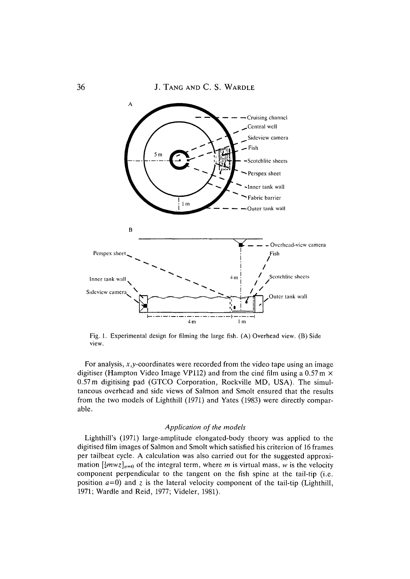

Fig. 1. Experimental design for filming the large fish. (A) Overhead view. (B) Side view.

For analysis,  $x,y$ -coordinates were recorded from the video tape using an image digitiser (Hampton Video Image VP112) and from the cine film using a  $0.57 \text{ m} \times$ 0.57m digitising pad (GTCO Corporation, Rockville MD, USA). The simultaneous overhead and side views of Salmon and Smolt ensured that the results from the two models of Lighthill (1971) and Yates (1983) were directly comparable.

# *Application of the models*

Lighthill's (1971) large-amplitude elongated-body theory was applied to the digitised film images of Salmon and Smolt which satisfied his criterion of 16 frames per tailbeat cycle. A calculation was also carried out for the suggested approximation  $\left[\frac{1}{2}mvz\right]_{a=0}$  of the integral term, where *m* is virtual mass, *w* is the velocity component perpendicular to the tangent on the fish spine at the tail-tip (i.e. position  $a=0$ ) and z is the lateral velocity component of the tail-tip (Lighthill, 1971; Wardle and Reid, 1977; Videler, 1981).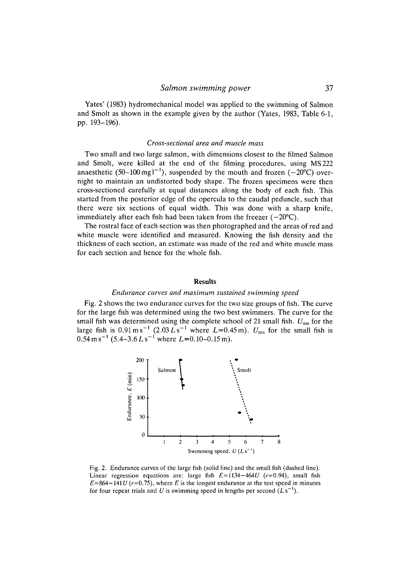Yates' (1983) hydromechanical model was applied to the swimming of Salmon and Smolt as shown in the example given by the author (Yates, 1983, Table 6-1, pp. 193-196).

### *Cross-sectional area and muscle mass*

Two small and two large salmon, with dimensions closest to the filmed Salmon and Smolt, were killed at the end of the filming procedures, using MS 222 anaesthetic (50-100 mg  $l^{-1}$ ), suspended by the mouth and frozen (-20°C) overnight to maintain an undistorted body shape. The frozen specimens were then cross-sectioned carefully at equal distances along the body of each fish. This started from the posterior edge of the opercula to the caudal peduncle, such that there were six sections of equal width. This was done with a sharp knife, immediately after each fish had been taken from the freezer  $(-20^{\circ}C)$ .

The rostral face of each section was then photographed and the areas of red and white muscle were identified and measured. Knowing the fish density and the thickness of each section, an estimate was made of the red and white muscle mass for each section and hence for the whole fish.

#### **Results**

# *Endurance curves and maximum sustained swimming speed*

Fig. 2 shows the two endurance curves for the two size groups of fish. The curve for the large fish was determined using the two best swimmers. The curve for the small fish was determined using the complete school of 21 small fish. *Ums* for the large fish is  $0.91 \text{ m s}^{-1}$   $(2.03 L \text{ s}^{-1}$  where  $L=0.45 \text{ m}$ ).  $U_{\text{ms}}$  for the small fish is  $0.54 \text{ m s}^{-1}$  (5.4–3.6 L s<sup>-1</sup> where L=0.10–0.15 m).



Fig. 2. Endurance curves of the large fish (solid line) and the small fish (dashed line). Linear regression equations are: large fish  $E=1134-464U$  (r=0.94), small fish  $E=864-141U$  ( $r=0.75$ ), where *E* is the longest endurance at the test speed in minutes for four repeat trials and U is swimming speed in lengths per second  $(Ls^{-1})$ .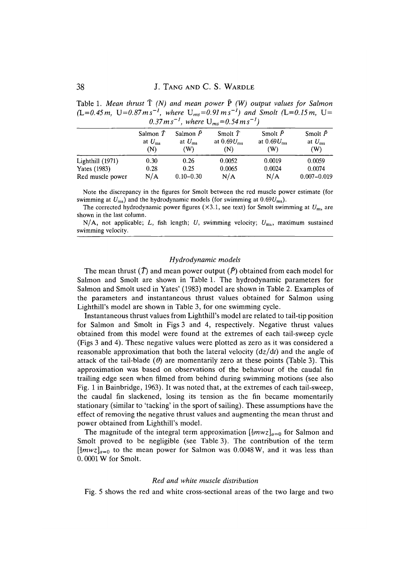| Table 1. Mean thrust $T(N)$ and mean power P (W) output values for Salmon                   |  |
|---------------------------------------------------------------------------------------------|--|
| $(L=0.45 m, U=0.87 m s^{-1},$ where $U_{ms}=0.91 m s^{-1}$ and Smolt $(L=0.15 m, U=0.15 m)$ |  |
| 0.37 m s <sup>-1</sup> , where $U_{ms} = 0.54$ m s <sup>-1</sup> )                          |  |

|                     | Salmon $\bar{T}$<br>at $U_{\rm ms}$<br>(N) | Salmon $\bar{P}$<br>at $U_{\rm ms}$<br>(W) | Smolt $\bar{T}$<br>at $0.69U_{\text{ms}}$<br>(N) | Smolt $\bar{P}$<br>at $0.69U_{\text{ms}}$<br>(W) | Smolt $\bar{P}$<br>at $U_{\rm ms}$<br>(W) |
|---------------------|--------------------------------------------|--------------------------------------------|--------------------------------------------------|--------------------------------------------------|-------------------------------------------|
| Lighthill (1971)    | 0.30                                       | 0.26                                       | 0.0052                                           | 0.0019                                           | 0.0059                                    |
| <b>Yates</b> (1983) | 0.28                                       | 0.25                                       | 0.0065                                           | 0.0024                                           | 0.0074                                    |
| Red muscle power    | N/A                                        | $0.10 - 0.30$                              | N/A                                              | N/A                                              | $0.007 - 0.019$                           |

Note the discrepancy in the figures for Smolt between the red muscle power estimate (for swimming at *Ums)* and the hydrodynamic models (for swimming at *0.69Ums).*

The corrected hydrodynamic power figures ( $\times$ 3.1, see text) for Smolt swimming at  $U_{\text{m}}$  are shown in the last column.

N/A, not applicable; L, fish length; U, swimming velocity;  $U_{\text{ms}}$ , maximum sustained swimming velocity.

### *Hydrodynamic models*

The mean thrust  $(\bar{T})$  and mean power output  $(\bar{P})$  obtained from each model for Salmon and Smolt are shown in Table 1. The hydrodynamic parameters for Salmon and Smolt used in Yates' (1983) model are shown in Table 2. Examples of the parameters and instantaneous thrust values obtained for Salmon using Lighthill's model are shown in Table 3, for one swimming cycle.

Instantaneous thrust values from Lighthill's model are related to tail-tip position for Salmon and Smolt in Figs 3 and 4, respectively. Negative thrust values obtained from this model were found at the extremes of each tail-sweep cycle (Figs 3 and 4). These negative values were plotted as zero as it was considered a reasonable approximation that both the lateral velocity *(dz/dt)* and the angle of attack of the tail-blade  $(\theta)$  are momentarily zero at these points (Table 3). This approximation was based on observations of the behaviour of the caudal fin trailing edge seen when filmed from behind during swimming motions (see also Fig. 1 in Bainbridge, 1963). It was noted that, at the extremes of each tail-sweep, the caudal fin slackened, losing its tension as the fin became momentarily stationary (similar to 'tacking' in the sport of sailing). These assumptions have the effect of removing the negative thrust values and augmenting the mean thrust and power obtained from Lighthill's model.

The magnitude of the integral term approximation  $\left[\frac{1}{2}mvz\right]_{a=0}$  for Salmon and Smolt proved to be negligible (see Table 3). The contribution of the term  $\left[\frac{1}{2}mvz\right]_{a=0}$  to the mean power for Salmon was 0.0048 W, and it was less than 0.0001W for Smolt.

### *Red and white muscle distribution*

Fig. 5 shows the red and white cross-sectional areas of the two large and two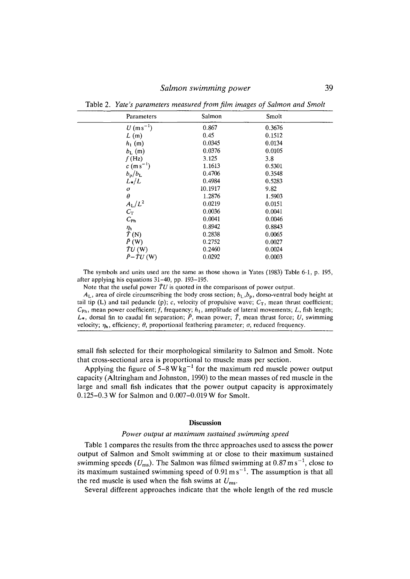| Parameters               | Salmon  | Smolt  |  |
|--------------------------|---------|--------|--|
| $U(m s^{-1})$            | 0.867   | 0.3676 |  |
| L(m)                     | 0.45    | 0.1512 |  |
| $h_1$ (m)                | 0.0345  | 0.0134 |  |
| $b_{\rm L}$ (m)          | 0.0376  | 0.0105 |  |
| $f$ (Hz)                 | 3.125   | 3.8    |  |
| $c (ms^{-1})$            | 1.1613  | 0.5301 |  |
| $b_{\rm p}/b_{\rm L}$    | 0.4706  | 0.3548 |  |
| $L*/L$                   | 0.4984  | 0.5283 |  |
| $\sigma$                 | 10.1917 | 9.82   |  |
| $\theta$                 | 1.2876  | 1.5903 |  |
| $A_L/L^2$                | 0.0219  | 0.0151 |  |
| $C_{\rm T}$              | 0.0036  | 0.0041 |  |
| $C_{\rm Ph}$             | 0.0041  | 0.0046 |  |
| $\eta_{\rm h}$           | 0.8942  | 0.8843 |  |
| $\bar{T}$ (N)            | 0.2838  | 0.0065 |  |
| $\bar{P}$ (W)            | 0.2752  | 0.0027 |  |
| $\bar{T}U(N)$            | 0.2460  | 0.0024 |  |
| $\bar{P} - \bar{T}U$ (W) | 0.0292  | 0.0003 |  |
|                          |         |        |  |

Table 2. *Yate's parameters measured from film images of Salmon and Smolt*

The symbols and units used are the same as those shown in Yates (1983) Table 6-1, p. 195, after applying his equations 31-40, pp. 193-195.

Note that the useful power *TU* is quoted in the comparisons of power output.

 $A_L$ , area of circle circumscribing the body cross section;  $b_L$ ,  $b_p$ , dorso-ventral body height at tail tip (L) and tail peduncle (p); c, velocity of propulsive wave;  $C_T$ , mean thrust coefficient;  $C_{\text{Ph}}$ , mean power coefficient; f, frequency;  $h_1$ , amplitude of lateral movements; L, fish length; *L\*,* dorsal fin to caudal fin separation; *P,* mean power; *T,* mean thrust force; *U,* swimming velocity;  $\eta_h$ , efficiency;  $\theta$ , proportional feathering parameter;  $\sigma$ , reduced frequency.

small fish selected for their morphological similarity to Salmon and Smolt. Note that cross-sectional area is proportional to muscle mass per section.

Applying the figure of  $5-8 \text{ W kg}^{-1}$  for the maximum red muscle power output capacity (Altringham and Johnston, 1990) to the mean masses of red muscle in the large and small fish indicates that the power output capacity is approximately 0.125-0.3 W for Salmon and 0.007-0.019 W for Smolt.

### **Discussion**

#### *Power output at maximum sustained swimming speed*

Table 1 compares the results from the three approaches used to assess the power output of Salmon and Smolt swimming at or close to their maximum sustained swimming speeds  $(U_{\text{ms}})$ . The Salmon was filmed swimming at 0.87 m s<sup>-1</sup>, close to its maximum sustained swimming speed of  $0.91 \text{ m s}^{-1}$ . The assumption is that all the red muscle is used when the fish swims at *Ums.*

Several different approaches indicate that the whole length of the red muscle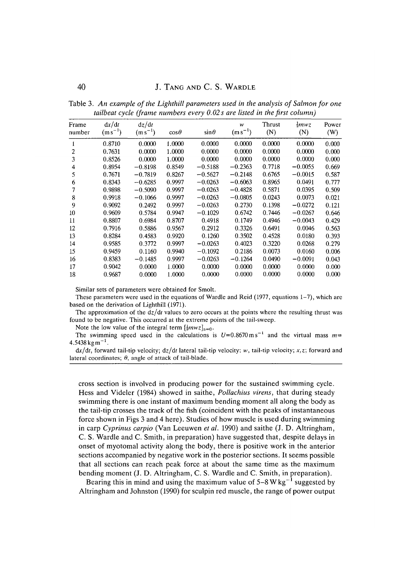| Frame<br>number | dx/dt<br>$(m s^{-1})$ | dz/dt<br>$(m s^{-1})$ | $cos\theta$ | $\sin\theta$ | w<br>$(m s^{-1})$ | Thrust<br>(N) | $\frac{1}{2} m w z$<br>(N) | Power<br>(W) |
|-----------------|-----------------------|-----------------------|-------------|--------------|-------------------|---------------|----------------------------|--------------|
| 1               | 0.8710                | 0.0000                | 1.0000      | 0.0000       | 0.0000            | 0.0000        | 0.0000                     | 0.000        |
| 2               | 0.7631                | 0.0000                | 1.0000      | 0.0000       | 0.0000            | 0.0000        | 0.0000                     | 0.000        |
| 3               | 0.8526                | 0.0000                | 1.0000      | 0.0000       | 0.0000            | 0.0000        | 0.0000                     | 0.000        |
| 4               | 0.8954                | $-0.8198$             | 0.8549      | $-0.5188$    | $-0.2363$         | 0.7718        | $-0.0055$                  | 0.669        |
| 5               | 0.7671                | $-0.7819$             | 0.8267      | $-0.5627$    | $-0.2148$         | 0.6765        | $-0.0015$                  | 0.587        |
| 6               | 0.8343                | $-0.6285$             | 0.9997      | $-0.0263$    | $-0.6063$         | 0.8965        | 0.0491                     | 0.777        |
|                 | 0.9898                | $-0.5090$             | 0.9997      | $-0.0263$    | $-0.4828$         | 0.5871        | 0.0395                     | 0.509        |
| 8               | 0.9918                | $-0.1066$             | 0.9997      | $-0.0263$    | $-0.0805$         | 0.0243        | 0.0073                     | 0.021        |
| 9               | 0.9092                | 0.2492                | 0.9997      | $-0.0263$    | 0.2730            | 0.1398        | $-0.0272$                  | 0.121        |
| 10              | 0.9609                | 0.5784                | 0.9947      | $-0.1029$    | 0.6742            | 0.7446        | $-0.0267$                  | 0.646        |
| 11              | 0.8807                | 0.6984                | 0.8707      | 0.4918       | 0.1749            | 0.4946        | $-0.0043$                  | 0.429        |
| 12              | 0.7916                | 0.5886                | 0.9567      | 0.2912       | 0.3326            | 0.6491        | 0.0046                     | 0.563        |
| 13              | 0.8284                | 0.4583                | 0.9920      | 0.1260       | 0.3502            | 0.4528        | 0.0180                     | 0.393        |
| 14              | 0.9585                | 0.3772                | 0.9997      | $-0.0263$    | 0.4023            | 0.3220        | 0.0268                     | 0.279        |
| 15              | 0.9459                | 0.1160                | 0.9940      | $-0.1092$    | 0.2186            | 0.0073        | 0.0160                     | 0.006        |
| 16              | 0.8383                | $-0.1485$             | 0.9997      | $-0.0263$    | $-0.1264$         | 0.0490        | $-0.0091$                  | 0.043        |
| 17              | 0.9042                | 0.0000                | 1.0000      | 0.0000       | 0.0000            | 0.0000        | 0.0000                     | 0.000        |
| 18              | 0.9687                | 0.0000                | 1.0000      | 0.0000       | 0.0000            | 0.0000        | 0.0000                     | 0.000        |
|                 |                       |                       |             |              |                   |               |                            |              |

Table 3. *An example of the Lighthill parameters used in the analysis of Salmon for one tailbeat cycle (frame numbers every 0.02 s are listed in the first column)*

Similar sets of parameters were obtained for Smolt.

These parameters were used in the equations of Wardle and Reid (1977, equations  $1-7$ ), which are based on the derivation of Lighthill (1971).

The approximation of the  $\frac{dz}{dt}$  values to zero occurs at the points where the resulting thrust was found to be negative. This occurred at the extreme points of the tail-sweep.

Note the low value of the integral term  $\left[\frac{1}{2}mvz\right]_{a=0}$ .

The swimming speed used in the calculations is  $U=0.8670 \text{ m s}^{-1}$  and the virtual mass  $m =$  $4.5438$  kg m<sup>-1</sup>.

*dx/dt,* forward tail-tip velocity; *dz/dt* lateral tail-tip velocity; *w,* tail-tip velocity; *x,z\* forward and lateral coordinates; *0,* angle of attack of tail-blade.

cross section is involved in producing power for the sustained swimming cycle. Hess and Videler (1984) showed in saithe, *Pollachius virens,* that during steady swimming there is one instant of maximum bending moment all along the body as the tail-tip crosses the track of the fish (coincident with the peaks of instantaneous force shown in Figs 3 and 4 here). Studies of how muscle is used during swimming in carp *Cyprinus carpio* (Van Leeuwen *et al.* 1990) and saithe (J. D. Altringham, C. S. Wardle and C. Smith, in preparation) have suggested that, despite delays in onset of myotomal activity along the body, there is positive work in the anterior sections accompanied by negative work in the posterior sections. It seems possible that all sections can reach peak force at about the same time as the maximum bending moment (J. D. Altringham, C. S. Wardle and C. Smith, in preparation).

Bearing this in mind and using the maximum value of  $5-8$  W kg<sup>-1</sup> suggested by Altringham and Johnston (1990) for sculpin red muscle, the range of power output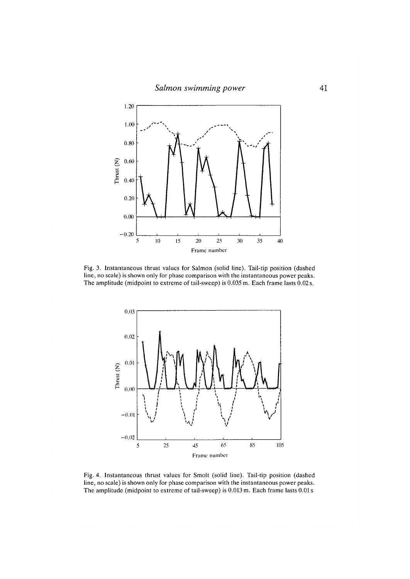

Fig. 3. Instantaneous thrust values for Salmon (solid line). Tail-tip position (dashed line, no scale) is shown only for phase comparison with the instantaneous power peaks. The amplitude (midpoint to extreme of tail-sweep) is 0.035 m. Each frame lasts 0.02 s.



Fig. 4. Instantaneous thrust values for Smolt (solid line). Tail-tip position (dashed line, no scale) is shown only for phase comparison with the instantaneous power peaks. The amplitude (midpoint to extreme of tail-sweep) is 0.013 m. Each frame lasts 0.01 s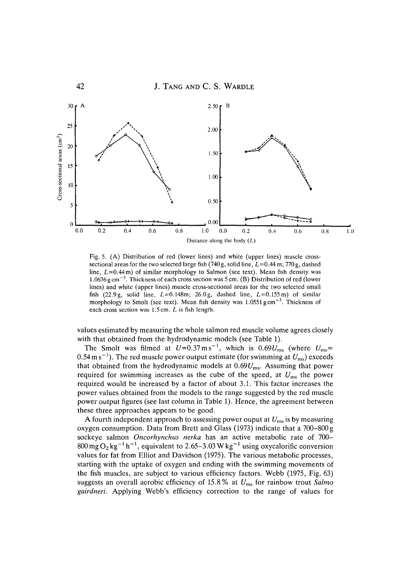

Fig. 5. (A) Distribution of red (lower lines) and white (upper lines) muscle crosssectional areas for the two selected large fish  $(740 \text{ g}, \text{solid line}, L=0.44 \text{ m}; 770 \text{ g}, \text{dashed}$ line,  $L=0.44$  m) of similar morphology to Salmon (see text). Mean fish density was 1.0676 g cm<sup>-3</sup>. Thickness of each cross section was 5 cm. (B) Distribution of red (lower lines) and white (upper lines) muscle cross-sectional areas for the two selected small fish (22.9g, solid line,  $L=0.148$ m; 26.0g, dashed line,  $L=0.155$ m) of similar morphology to Smolt (see text). Mean fish density was  $1.0551$  g cm<sup>-3</sup>. Thickness of each cross section was 1.5 cm. *L* is fish length.

values estimated by measuring the whole salmon red muscle volume agrees closely with that obtained from the hydrodynamic models (see Table 1).

The Smolt was filmed at  $U=0.37 \text{ m s}^{-1}$ , which is  $0.69U_{\text{ms}}$  (where  $U_{\text{ms}}=$  $0.54\,\mathrm{m\,s^{-1}}$ ). The red muscle power output estimate (for swimming at  $U_\mathrm{ms}$ ) exceeds that obtained from the hydrodynamic models at  $0.69U_{\text{ms}}$ . Assuming that power required for swimming increases as the cube of the speed, at  $U_{\text{ms}}$  the power required would be increased by a factor of about 3.1. This factor increases the power values obtained from the models to the range suggested by the red muscle power output figures (see last column in Table 1). Hence, the agreement between these three approaches appears to be good.

A fourth independent approach to assessing power ouput at *Ums* is by measuring oxygen consumption. Data from Brett and Glass (1973) indicate that a 700-800g sockeye salmon *Oncorhynchus nerka* has an active metabolic rate of 700- 800 mg O<sub>2</sub> kg<sup>-1</sup> h<sup>-1</sup>, equivalent to 2.65-3.03 W kg<sup>-1</sup> using oxycalorific conversion values for fat from Elliot and Davidson (1975). The various metabolic processes, starting with the uptake of oxygen and ending with the swimming movements of the fish muscles, are subject to various efficiency factors. Webb (1975, Fig. 63) suggests an overall aerobic efficiency of 15.8% at *£7ms* for rainbow trout *Salmo gairdneri.* Applying Webb's efficiency correction to the range of values for

**42**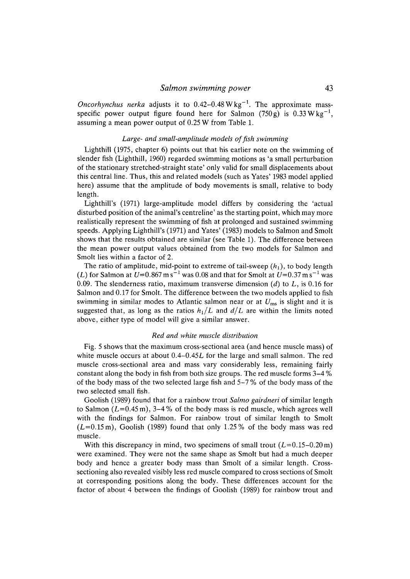*Oncorhynchus nerka* adjusts it to  $0.42 - 0.48 \text{ W kg}^{-1}$ . The approximate massspecific power output figure found here for Salmon  $(750 \text{ g})$  is  $0.33 \text{ W kg}^{-1}$ , assuming a mean power output of 0.25 W from Table 1.

# Large- and small-amplitude models of fish swimming

Lighthill (1975, chapter 6) points out that his earlier note on the swimming of slender fish (Lighthill, 1960) regarded swimming motions as 'a small perturbation of the stationary stretched-straight state' only valid for small displacements about this central line. Thus, this and related models (such as Yates' 1983 model applied here) assume that the amplitude of body movements is small, relative to body length.

Lighthill's (1971) large-amplitude model differs by considering the 'actual disturbed position of the animal's centreline' as the starting point, which may more realistically represent the swimming of fish at prolonged and sustained swimming speeds. Applying Lighthill's (1971) and Yates' (1983) models to Salmon and Smolt shows that the results obtained are similar (see Table 1). The difference between the mean power output values obtained from the two models for Salmon and Smolt lies within a factor of 2.

The ratio of amplitude, mid-point to extreme of tail-sweep  $(h_1)$ , to body length (*L*) for Salmon at  $U$ =0.867 m s $^{-1}$  was 0.08 and that for Smolt at  $U$ =0.37 m s $^{-1}$  was 0.09. The slenderness ratio, maximum transverse dimension *(d)* to L, is 0.16 for Salmon and 0.17 for Smolt. The difference between the two models applied to fish swimming in similar modes to Atlantic salmon near or at *Ums* is slight and it is suggested that, as long as the ratios  $h_1/L$  and  $d/L$  are within the limits noted above, either type of model will give a similar answer.

# *Red and white muscle distribution*

Fig. 5 shows that the maximum cross-sectional area (and hence muscle mass) of white muscle occurs at about  $0.4 - 0.45L$  for the large and small salmon. The red muscle cross-sectional area and mass vary considerably less, remaining fairly constant along the body in fish from both size groups. The red muscle forms 3-4 % of the body mass of the two selected large fish and 5-7 % of the body mass of the two selected small fish.

Goolish (1989) found that for a rainbow trout *Salmo gairdneri* of similar length to Salmon  $(L=0.45 \text{ m})$ , 3-4% of the body mass is red muscle, which agrees well with the findings for Salmon. For rainbow trout of similar length to Smolt  $(L=0.15 \text{ m})$ , Goolish (1989) found that only 1.25% of the body mass was red muscle.

With this discrepancy in mind, two specimens of small trout  $(L=0.15-0.20 \text{ m})$ were examined. They were not the same shape as Smolt but had a much deeper body and hence a greater body mass than Smolt of a similar length. Crosssectioning also revealed visibly less red muscle compared to cross sections of Smolt at corresponding positions along the body. These differences account for the factor of about 4 between the findings of Goolish (1989) for rainbow trout and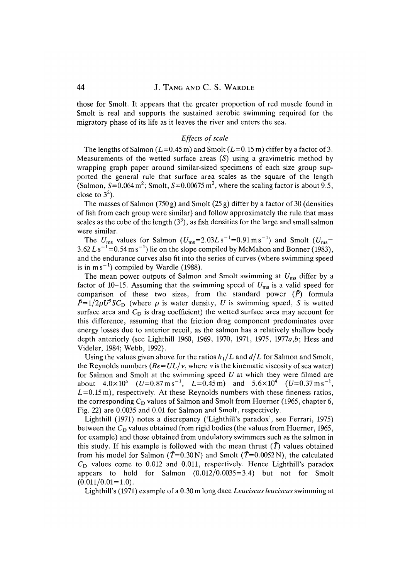those for Smolt. It appears that the greater proportion of red muscle found in Smolt is real and supports the sustained aerobic swimming required for the migratory phase of its life as it leaves the river and enters the sea.

# *Effects of scale*

The lengths of Salmon ( $L=0.45$  m) and Smolt ( $L=0.15$  m) differ by a factor of 3. Measurements of the wetted surface areas  $(S)$  using a gravimetric method by wrapping graph paper around similar-sized specimens of each size group supported the general rule that surface area scales as the square of the length (Salmon, S=0.064 m<sup>2</sup>; Smolt, S=0.00675 m<sup>2</sup>, where the scaling factor is about 9.5, close to  $3^2$ ).

The masses of Salmon (750 g) and Smolt (25 g) differ by a factor of 30 (densities of fish from each group were similar) and follow approximately the rule that mass scales as the cube of the length  $(3^3)$ , as fish densities for the large and small salmon were similar.

The  $U_{\text{ms}}$  values for Salmon  $(U_{\text{ms}}=2.03L \text{ s}^{-1}=0.91 \text{ m s}^{-1})$  and Smolt  $(U_{\text{ms}}=$  $3.62 L s^{-1}$ =0.54 m s<sup>-1</sup>) lie on the slope compiled by McMahon and Bonner (1983), and the endurance curves also fit into the series of curves (where swimming speed is in m s<sup>-1</sup>) compiled by Wardle (1988).

The mean power outputs of Salmon and Smolt swimming at *Ums* differ by a factor of 10-15. Assuming that the swimming speed of *Ums* is a valid speed for comparison of these two sizes, from the standard power *(P)* formula  $\bar{P}=1/2\rho U^3 S C_D$  (where  $\rho$  is water density, U is swimming speed, S is wetted surface area and  $C_D$  is drag coefficient) the wetted surface area may account for this difference, assuming that the friction drag component predominates over energy losses due to anterior recoil, as the salmon has a relatively shallow body depth anteriorly (see Lighthill 1960, 1969, 1970, 1971, 1975, 1977*a,b*; Hess and Videler, 1984; Webb, 1992).

Using the values given above for the ratios  $h_1/L$  and  $d/L$  for Salmon and Smolt, the Reynolds numbers  $(Re=UL/v)$ , where v is the kinematic viscosity of sea water) for Salmon and Smolt at the swimming speed *U* at which they were filmed are about  $4.0 \times 10^5$   $(U=0.87 \text{ m s}^{-1}, L=0.45 \text{ m})$  and  $5.6 \times 10^4$   $(U=0.37 \text{ m s}^{-1},$  $L=0.15$  m), respectively. At these Reynolds numbers with these fineness ratios, the corresponding  $C_D$  values of Salmon and Smolt from Hoerner (1965, chapter 6, Fig. 22) are 0.0035 and 0.01 for Salmon and Smolt, respectively.

Lighthill (1971) notes a discrepancy ('Lighthill's paradox', see Ferrari, 1975) between the  $C_D$  values obtained from rigid bodies (the values from Hoerner, 1965, for example) and those obtained from undulatory swimmers such as the salmon in this study. If his example is followed with the mean thrust  $(\bar{T})$  values obtained from his model for Salmon ( $\bar{T}$ =0.30N) and Smolt ( $\bar{T}$ =0.0052N), the calculated  $C<sub>D</sub>$  values come to 0.012 and 0.011, respectively. Hence Lighthill's paradox appears to hold for Salmon  $(0.012/0.0035=3.4)$  but not for Smolt  $(0.011/0.01 = 1.0).$ 

Lighthill's (1971) example of a 0.30 m long dace *Leuciscus leuciscus* swimming at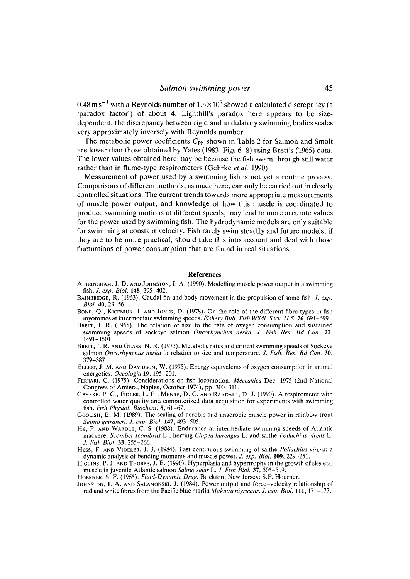$0.48\,\mathrm{m\,s^{-1}}$  with a Reynolds number of  $1.4{\times}10^5$  showed a calculated discrepancy (a 'paradox factor') of about 4. Lighthill's paradox here appears to be sizedependent: the discrepancy between rigid and undulatory swimming bodies scales very approximately inversely with Reynolds number.

The metabolic power coefficients  $C_{Ph}$  shown in Table 2 for Salmon and Smolt are lower than those obtained by Yates (1983, Figs 6-8) using Brett's (1965) data. The lower values obtained here may be because the fish swam through still water rather than in flume-type respirometers (Gehrke *et al.* 1990).

Measurement of power used by a swimming fish is not yet a routine process. Comparisons of different methods, as made here, can only be carried out in closely controlled situations. The current trends towards more appropriate measurements of muscle power output, and knowledge of how this muscle is coordinated to produce swimming motions at different speeds, may lead to more accurate values for the power used by swimming fish. The hydrodynamic models are only suitable for swimming at constant velocity. Fish rarely swim steadily and future models, if they are to be more practical, should take this into account and deal with those fluctuations of power consumption that are found in real situations.

#### **References**

- ALTRINGHAM, J. D. AND JOHNSTON, I. A. (1990). Modelling muscle power output in a swimming fish. *J. exp. Biol.* **148,** 395-402.
- BAINBRIDGE, R. (1963). Caudal fin and body movement in the propulsion of some fish. *J. exp. Biol.* **40,** 23-56.
- BONE, Q., KICENIUK, J. AND JONES, D. (1978). On the role of the different fibre types in fish myotomes at intermediate swimming speeds. *Fishery Bull. Fish Wildl. Serv. U.S.* 76,691-699.
- BRETT, J. R. (1965). The relation of size to the rate of oxygen consumption and sustained swimming speeds of sockeye salmon *Oncorhynchus nerka. J. Fish Res. Bd Can.* 22, 1491-1501.
- BRETT, J. R. AND GLASS, N. R. (1973). Metabolic rates and critical swimming speeds of Sockeye salmon *Oncorhynchus nerka* in relation to size and temperature. *J. Fish. Res. Bd Can.* 30, 379-387.
- ELLIOT, J. M. AND DAVIDSON, W. (1975). Energy equivalents of oxygen consumption in animal energetics. *Oceologia* **19,** 195-201.
- FERRARI, C. (1975). Considerations on fish locomotion. *Meccam'ca* Dec. 1975 (2nd National Congress of Amieta, Naples, October 1974), pp. 300-311.
- GEHRKE, P. C., FIDLER, L. E., MENSE, D. C. AND RANDALL, D. J. (1990). A respirometer with controlled water quality and computerized data acquisition for experiments with swimming fish. *Fish Physiol. Biochem.* 8, 61-67.
- GOOLISH, E. M. (1989). The scaling of aerobic and anaerobic muscle power in rainbow trout *Salmo gairdneri. J. exp. Biol.* **147,** 493-505.
- HE, P. AND WARDLE, C. S. (1988). Endurance at intermediate swimming speeds of Atlantic mackerel *Scomber scombrus* L., herring *Clupea harengus* L. and saithe *Pollachius virens* L. *J. Fish Biol.* 33, 255-266.
- HESS, F. AND VIDELER, J. J. (1984). Fast continuous swimming of saithe *Pollachius virens:* a dynamic analysis of bending moments and muscle power. *J. exp. Biol.* **109,** 229-251.
- HIGGINS, P. J. AND THORPE, J. E. (1990). Hyperplasia and hypertrophy in the growth of skeletal muscle in juvenile Atlantic salmon *Salmo salar* L. /. *Fish Biol.* 37, 505-519.

HOERNER, S. F. (1965). *Fluid-Dynamic Drag.* Brickton, New Jersey: S.F. Hoerner.

JOHNSTON, I. A. AND SALAMONSKI, J. (1984). Power output and force-velocity relationship of red and white fibres from the Pacific blue marlin *Makaira nigricans. J. exp. Biol.* **Ill,** 171-177.